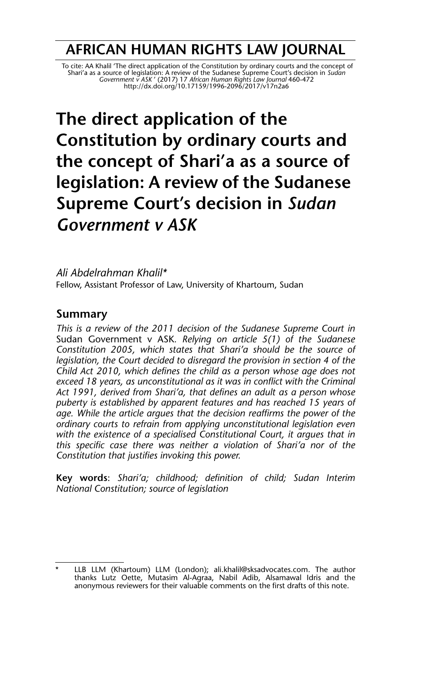## **AFRICAN HUMAN RIGHTS LAW JOURNAL**

To cite: AA Khalil 'The direct application of the Constitution by ordinary courts and the concept of<br>Shari'a as a source of legislation: A review of the Sudanese Supreme Court's decision in Sudan<br>Government v ASK' (2017) 1 http://dx.doi.org/10.17159/1996-2096/2017/v17n2a6

# **The direct application of the Constitution by ordinary courts and the concept of Shari'a as a source of legislation: A review of the Sudanese Supreme Court's decision in** *Sudan Government v ASK*

*Ali Abdelrahman Khalil\** Fellow, Assistant Professor of Law, University of Khartoum, Sudan

## **Summary**

*This is a review of the 2011 decision of the Sudanese Supreme Court in* Sudan Government v ASK*. Relying on article 5(1) of the Sudanese Constitution 2005, which states that Shari'a should be the source of legislation, the Court decided to disregard the provision in section 4 of the Child Act 2010, which defines the child as a person whose age does not exceed 18 years, as unconstitutional as it was in conflict with the Criminal Act 1991, derived from Shari'a, that defines an adult as a person whose puberty is established by apparent features and has reached 15 years of age. While the article argues that the decision reaffirms the power of the ordinary courts to refrain from applying unconstitutional legislation even with the existence of a specialised Constitutional Court, it argues that in this specific case there was neither a violation of Shari'a nor of the Constitution that justifies invoking this power.* 

**Key words**: *Shari'a; childhood; definition of child; Sudan Interim National Constitution; source of legislation*

LLB LLM (Khartoum) LLM (London); ali.khalil@sksadvocates.com. The author thanks Lutz Oette, Mutasim Al-Agraa, Nabil Adib, Alsamawal Idris and the anonymous reviewers for their valuable comments on the first drafts of this note.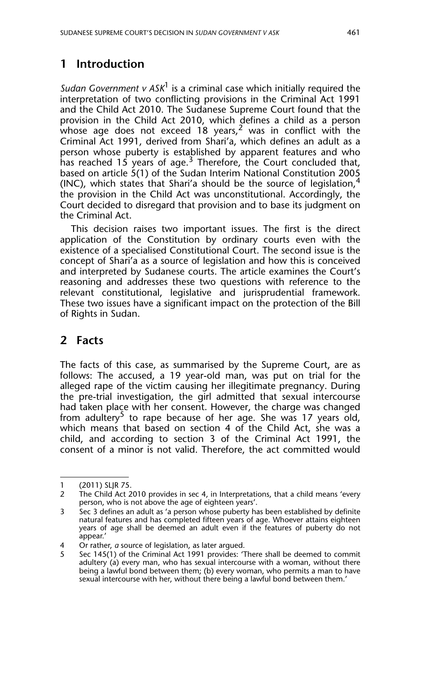## **1 Introduction**

*Sudan Government v ASK*1 is a criminal case which initially required the interpretation of two conflicting provisions in the Criminal Act 1991 and the Child Act 2010. The Sudanese Supreme Court found that the provision in the Child Act 2010, which defines a child as a person whose age does not exceed 18 years, $^2$  was in conflict with the Criminal Act 1991, derived from Shari'a, which defines an adult as a person whose puberty is established by apparent features and who has reached  $15$  years of age.<sup>3</sup> Therefore, the Court concluded that, based on article 5(1) of the Sudan Interim National Constitution 2005 (INC), which states that Shari'a should be the source of legislation,  $4$ the provision in the Child Act was unconstitutional. Accordingly, the Court decided to disregard that provision and to base its judgment on the Criminal Act.

This decision raises two important issues. The first is the direct application of the Constitution by ordinary courts even with the existence of a specialised Constitutional Court. The second issue is the concept of Shari'a as a source of legislation and how this is conceived and interpreted by Sudanese courts. The article examines the Court's reasoning and addresses these two questions with reference to the relevant constitutional, legislative and jurisprudential framework. These two issues have a significant impact on the protection of the Bill of Rights in Sudan.

## **2 Facts**

The facts of this case, as summarised by the Supreme Court, are as follows: The accused, a 19 year-old man, was put on trial for the alleged rape of the victim causing her illegitimate pregnancy. During the pre-trial investigation, the girl admitted that sexual intercourse had taken place with her consent. However, the charge was changed from adultery<sup>5</sup> to rape because of her age. She was 17 years old, which means that based on section 4 of the Child Act, she was a child, and according to section 3 of the Criminal Act 1991, the consent of a minor is not valid. Therefore, the act committed would

<sup>1 (2011)</sup> SLJR 75.

The Child Act 2010 provides in sec 4, in Interpretations, that a child means 'every person, who is not above the age of eighteen years'.

<sup>3</sup> Sec 3 defines an adult as 'a person whose puberty has been established by definite natural features and has completed fifteen years of age. Whoever attains eighteen years of age shall be deemed an adult even if the features of puberty do not appear.'

<sup>4</sup> Or rather, *a* source of legislation, as later argued.

<sup>5</sup> Sec 145(1) of the Criminal Act 1991 provides: 'There shall be deemed to commit adultery (a) every man, who has sexual intercourse with a woman, without there being a lawful bond between them; (b) every woman, who permits a man to have sexual intercourse with her, without there being a lawful bond between them.'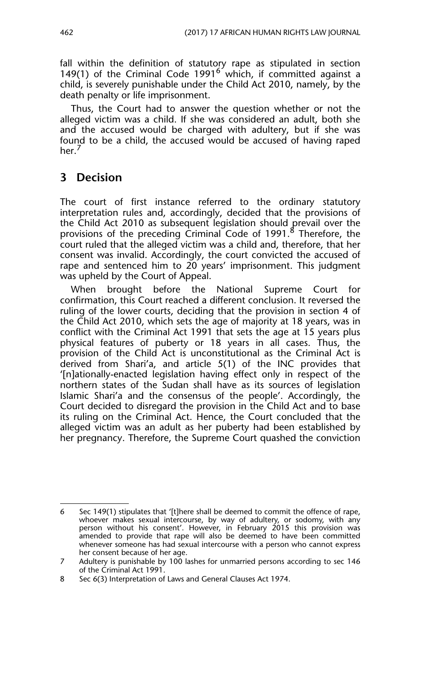fall within the definition of statutory rape as stipulated in section 149(1) of the Criminal Code 1991 $^6$  which, if committed against a child, is severely punishable under the Child Act 2010, namely, by the death penalty or life imprisonment.

Thus, the Court had to answer the question whether or not the alleged victim was a child. If she was considered an adult, both she and the accused would be charged with adultery, but if she was found to be a child, the accused would be accused of having raped her.

## **3 Decision**

The court of first instance referred to the ordinary statutory interpretation rules and, accordingly, decided that the provisions of the Child Act 2010 as subsequent legislation should prevail over the provisions of the preceding Criminal Code of 1991.<sup>8</sup> Therefore, the court ruled that the alleged victim was a child and, therefore, that her consent was invalid. Accordingly, the court convicted the accused of rape and sentenced him to 20 years' imprisonment. This judgment was upheld by the Court of Appeal.

When brought before the National Supreme Court for confirmation, this Court reached a different conclusion. It reversed the ruling of the lower courts, deciding that the provision in section 4 of the Child Act 2010, which sets the age of majority at 18 years, was in conflict with the Criminal Act 1991 that sets the age at 15 years plus physical features of puberty or 18 years in all cases. Thus, the provision of the Child Act is unconstitutional as the Criminal Act is derived from Shari'a, and article 5(1) of the INC provides that '[n]ationally-enacted legislation having effect only in respect of the northern states of the Sudan shall have as its sources of legislation Islamic Shari'a and the consensus of the people'. Accordingly, the Court decided to disregard the provision in the Child Act and to base its ruling on the Criminal Act. Hence, the Court concluded that the alleged victim was an adult as her puberty had been established by her pregnancy. Therefore, the Supreme Court quashed the conviction

<sup>6</sup> Sec 149(1) stipulates that '[t]here shall be deemed to commit the offence of rape, whoever makes sexual intercourse, by way of adultery, or sodomy, with any person without his consent'. However, in February 2015 this provision was amended to provide that rape will also be deemed to have been committed whenever someone has had sexual intercourse with a person who cannot express her consent because of her age.

<sup>7</sup> Adultery is punishable by 100 lashes for unmarried persons according to sec 146 of the Criminal Act 1991.

<sup>8</sup> Sec 6(3) Interpretation of Laws and General Clauses Act 1974.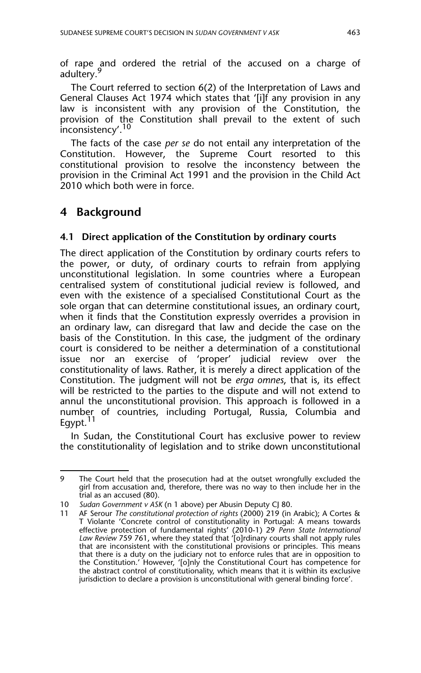of rape and ordered the retrial of the accused on a charge of adultery.<sup>9</sup>

The Court referred to section 6(2) of the Interpretation of Laws and General Clauses Act 1974 which states that '[i]f any provision in any law is inconsistent with any provision of the Constitution, the provision of the Constitution shall prevail to the extent of such inconsistency'.<sup>10</sup>

The facts of the case *per se* do not entail any interpretation of the Constitution. However, the Supreme Court resorted to this constitutional provision to resolve the inconstency between the provision in the Criminal Act 1991 and the provision in the Child Act 2010 which both were in force.

### **4 Background**

#### **4.1 Direct application of the Constitution by ordinary courts**

The direct application of the Constitution by ordinary courts refers to the power, or duty, of ordinary courts to refrain from applying unconstitutional legislation. In some countries where a European centralised system of constitutional judicial review is followed, and even with the existence of a specialised Constitutional Court as the sole organ that can determine constitutional issues, an ordinary court, when it finds that the Constitution expressly overrides a provision in an ordinary law, can disregard that law and decide the case on the basis of the Constitution. In this case, the judgment of the ordinary court is considered to be neither a determination of a constitutional issue nor an exercise of 'proper' judicial review over the constitutionality of laws. Rather, it is merely a direct application of the Constitution. The judgment will not be *erga omnes*, that is, its effect will be restricted to the parties to the dispute and will not extend to annul the unconstitutional provision. This approach is followed in a number of countries, including Portugal, Russia, Columbia and Egypt.<sup>11</sup>

In Sudan, the Constitutional Court has exclusive power to review the constitutionality of legislation and to strike down unconstitutional

<sup>9</sup> The Court held that the prosecution had at the outset wrongfully excluded the girl from accusation and, therefore, there was no way to then include her in the trial as an accused (80).

<sup>10</sup> *Sudan Government v ASK* (n 1 above) per Abusin Deputy CJ 80.

<sup>11</sup> AF Serour *The constitutional protection of rights* (2000) 219 (in Arabic); A Cortes & T Violante 'Concrete control of constitutionality in Portugal: A means towards effective protection of fundamental rights' (2010-1) 29 *Penn State International Law Review* 759 761, where they stated that '[o]rdinary courts shall not apply rules that are inconsistent with the constitutional provisions or principles. This means that there is a duty on the judiciary not to enforce rules that are in opposition to the Constitution.' However, '[o]nly the Constitutional Court has competence for the abstract control of constitutionality, which means that it is within its exclusive jurisdiction to declare a provision is unconstitutional with general binding force'.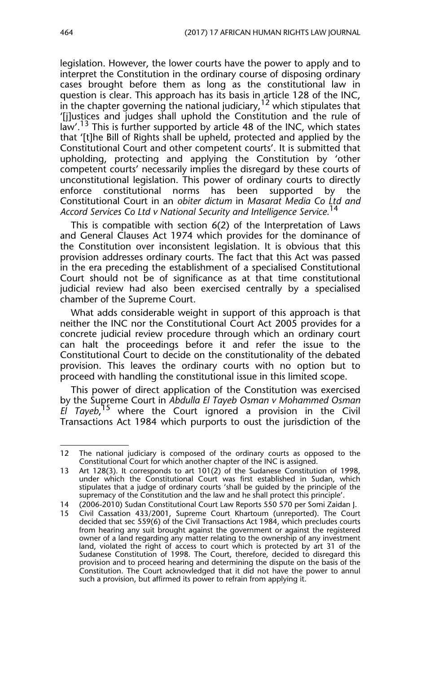legislation. However, the lower courts have the power to apply and to interpret the Constitution in the ordinary course of disposing ordinary cases brought before them as long as the constitutional law in question is clear. This approach has its basis in article 128 of the INC, in the chapter governing the national judiciary,  $12$  which stipulates that '[j]ustices and judges shall uphold the Constitution and the rule of law'.<sup>13</sup> This is further supported by article 48 of the INC, which states that '[t]he Bill of Rights shall be upheld, protected and applied by the Constitutional Court and other competent courts'. It is submitted that upholding, protecting and applying the Constitution by 'other competent courts' necessarily implies the disregard by these courts of unconstitutional legislation. This power of ordinary courts to directly enforce constitutional norms has been supported by the Constitutional Court in an *obiter dictum* in *Masarat Media Co Ltd and Accord Services Co Ltd v National Security and Intelligence Service.*<sup>14</sup>

This is compatible with section 6(2) of the Interpretation of Laws and General Clauses Act 1974 which provides for the dominance of the Constitution over inconsistent legislation. It is obvious that this provision addresses ordinary courts. The fact that this Act was passed in the era preceding the establishment of a specialised Constitutional Court should not be of significance as at that time constitutional judicial review had also been exercised centrally by a specialised chamber of the Supreme Court.

What adds considerable weight in support of this approach is that neither the INC nor the Constitutional Court Act 2005 provides for a concrete judicial review procedure through which an ordinary court can halt the proceedings before it and refer the issue to the Constitutional Court to decide on the constitutionality of the debated provision. This leaves the ordinary courts with no option but to proceed with handling the constitutional issue in this limited scope.

This power of direct application of the Constitution was exercised by the Supreme Court in *Abdulla El Tayeb Osman v Mohammed Osman El Tayeb*, <sup>15</sup> where the Court ignored a provision in the Civil Transactions Act 1984 which purports to oust the jurisdiction of the

<sup>12</sup> The national judiciary is composed of the ordinary courts as opposed to the Constitutional Court for which another chapter of the INC is assigned.

<sup>13</sup> Art 128(3). It corresponds to art 101(2) of the Sudanese Constitution of 1998, under which the Constitutional Court was first established in Sudan, which stipulates that a judge of ordinary courts 'shall be guided by the principle of the supremacy of the Constitution and the law and he shall protect this principle'.

<sup>14 (2006-2010)</sup> Sudan Constitutional Court Law Reports 550 570 per Somi Zaidan J.

<sup>15</sup> Civil Cassation 433/2001, Supreme Court Khartoum (unreported). The Court decided that sec 559(6) of the Civil Transactions Act 1984, which precludes courts from hearing any suit brought against the government or against the registered owner of a land regarding any matter relating to the ownership of any investment land, violated the right of access to court which is protected by art 31 of the Sudanese Constitution of 1998. The Court, therefore, decided to disregard this provision and to proceed hearing and determining the dispute on the basis of the Constitution. The Court acknowledged that it did not have the power to annul such a provision, but affirmed its power to refrain from applying it.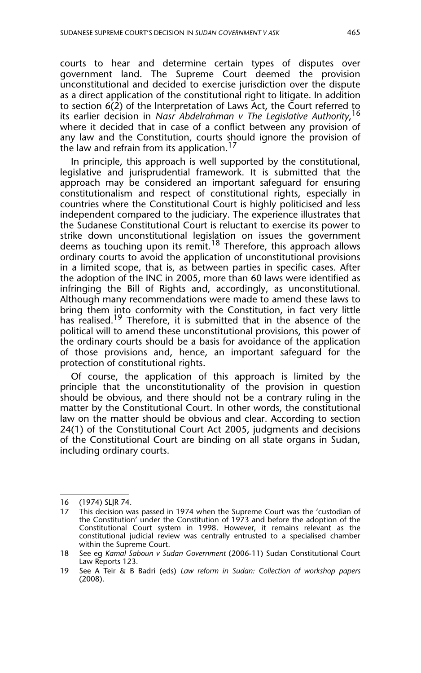courts to hear and determine certain types of disputes over government land. The Supreme Court deemed the provision unconstitutional and decided to exercise jurisdiction over the dispute as a direct application of the constitutional right to litigate. In addition to section 6(2) of the Interpretation of Laws Act, the Court referred to its earlier decision in *Nasr Abdelrahman v The Legislative Authority*, 16 where it decided that in case of a conflict between any provision of any law and the Constitution, courts should ignore the provision of the law and refrain from its application.<sup>17</sup>

In principle, this approach is well supported by the constitutional, legislative and jurisprudential framework. It is submitted that the approach may be considered an important safeguard for ensuring constitutionalism and respect of constitutional rights, especially in countries where the Constitutional Court is highly politicised and less independent compared to the judiciary. The experience illustrates that the Sudanese Constitutional Court is reluctant to exercise its power to strike down unconstitutional legislation on issues the government deems as touching upon its remit.<sup>18</sup> Therefore, this approach allows ordinary courts to avoid the application of unconstitutional provisions in a limited scope, that is, as between parties in specific cases. After the adoption of the INC in 2005, more than 60 laws were identified as infringing the Bill of Rights and, accordingly, as unconstitutional. Although many recommendations were made to amend these laws to bring them into conformity with the Constitution, in fact very little has realised.<sup>19</sup> Therefore, it is submitted that in the absence of the political will to amend these unconstitutional provisions, this power of the ordinary courts should be a basis for avoidance of the application of those provisions and, hence, an important safeguard for the protection of constitutional rights.

Of course, the application of this approach is limited by the principle that the unconstitutionality of the provision in question should be obvious, and there should not be a contrary ruling in the matter by the Constitutional Court. In other words, the constitutional law on the matter should be obvious and clear. According to section 24(1) of the Constitutional Court Act 2005, judgments and decisions of the Constitutional Court are binding on all state organs in Sudan, including ordinary courts.

<sup>16 (1974)</sup> SLJR 74.<br>17 This decision w

This decision was passed in 1974 when the Supreme Court was the 'custodian of the Constitution' under the Constitution of 1973 and before the adoption of the Constitutional Court system in 1998. However, it remains relevant as the constitutional judicial review was centrally entrusted to a specialised chamber within the Supreme Court.

<sup>18</sup> See eg *Kamal Saboun v Sudan Government* (2006-11) Sudan Constitutional Court Law Reports 123.

<sup>19</sup> See A Teir & B Badri (eds) *Law reform in Sudan: Collection of workshop papers* (2008).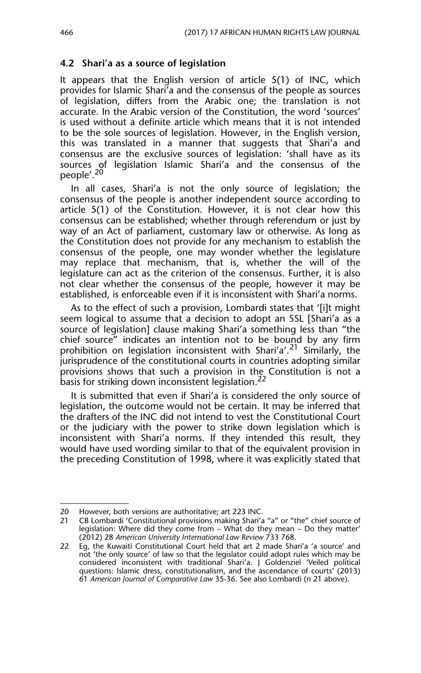#### **4.2 Shari'a as a source of legislation**

It appears that the English version of article 5(1) of INC, which provides for Islamic Shari'a and the consensus of the people as sources of legislation, differs from the Arabic one; the translation is not accurate. In the Arabic version of the Constitution, the word 'sources' is used without a definite article which means that it is not intended to be the sole sources of legislation. However, in the English version, this was translated in a manner that suggests that Shari'a and consensus are the exclusive sources of legislation: 'shall have as its sources of legislation Islamic Shari'a and the consensus of the people'.<sup>20</sup>

In all cases*,* Shari'a is not the only source of legislation; the consensus of the people is another independent source according to article 5(1) of the Constitution. However, it is not clear how this consensus can be established; whether through referendum or just by way of an Act of parliament, customary law or otherwise. As long as the Constitution does not provide for any mechanism to establish the consensus of the people, one may wonder whether the legislature may replace that mechanism, that is, whether the will of the legislature can act as the criterion of the consensus. Further, it is also not clear whether the consensus of the people, however it may be established, is enforceable even if it is inconsistent with Shari'a norms.

As to the effect of such a provision, Lombardi states that '[i]t might seem logical to assume that a decision to adopt an SSL [Shari'a as a source of legislation] clause making Shari'a something less than "the chief source" indicates an intention not to be bound by any firm prohibition on legislation inconsistent with Shari'a'.<sup>21</sup> Similarly, the jurisprudence of the constitutional courts in countries adopting similar provisions shows that such a provision in the Constitution is not a basis for striking down inconsistent legislation.<sup>22</sup>

It is submitted that even if Shari'a is considered the only source of legislation, the outcome would not be certain. It may be inferred that the drafters of the INC did not intend to vest the Constitutional Court or the judiciary with the power to strike down legislation which is inconsistent with Shari'a norms. If they intended this result, they would have used wording similar to that of the equivalent provision in the preceding Constitution of 1998, where it was explicitly stated that

<sup>20</sup> However, both versions are authoritative; art 223 INC.

<sup>21</sup> CB Lombardi 'Constitutional provisions making Shari'a "a" or "the" chief source of legislation: Where did they come from – What do they mean – Do they matter' (2012) 28 *American University International Law Review* 733 768.

<sup>22</sup> Eg, the Kuwaiti Constitutional Court held that art 2 made Shari'a 'a source' and not 'the only source' of law so that the legislator could adopt rules which may be considered inconsistent with traditional Shari'a. J Goldenziel 'Veiled political questions: Islamic dress, constitutionalism, and the ascendance of courts' (2013) 61 *American Journal of Comparative Law* 35-36. See also Lombardi (n 21 above).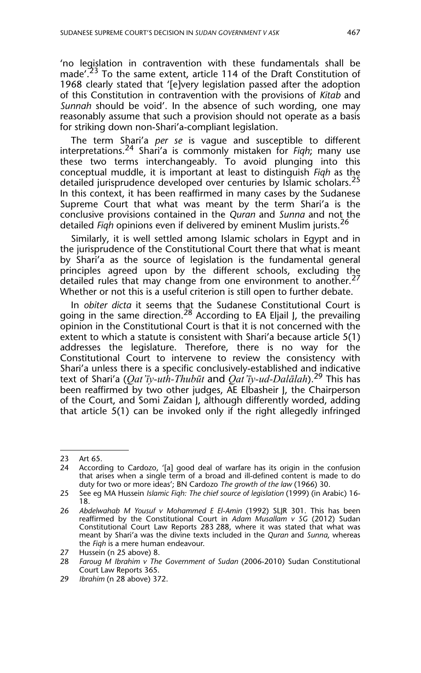'no legislation in contravention with these fundamentals shall be made'.<sup>23</sup> To the same extent, article 114 of the Draft Constitution of 1968 clearly stated that '[e]very legislation passed after the adoption of this Constitution in contravention with the provisions of *Kitab* and *Sunnah* should be void'. In the absence of such wording, one may reasonably assume that such a provision should not operate as a basis for striking down non-Shari'a-compliant legislation.

The term Shari'a *per se* is vague and susceptible to different interpretations.24 Shari'a is commonly mistaken for *Fiqh*; many use these two terms interchangeably. To avoid plunging into this conceptual muddle, it is important at least to distinguish *Fiqh* as the detailed jurisprudence developed over centuries by Islamic scholars.<sup>25</sup> In this context, it has been reaffirmed in many cases by the Sudanese Supreme Court that what was meant by the term Shari'a is the conclusive provisions contained in the *Quran* and *Sunna* and not the detailed *Fiqh* opinions even if delivered by eminent Muslim jurists.<sup>26</sup>

Similarly, it is well settled among Islamic scholars in Egypt and in the jurisprudence of the Constitutional Court there that what is meant by Shari'a as the source of legislation is the fundamental general principles agreed upon by the different schools, excluding the detailed rules that may change from one environment to another.<sup>27</sup> Whether or not this is a useful criterion is still open to further debate.

In *obiter dicta* it seems that the Sudanese Constitutional Court is going in the same direction.<sup>28</sup> According to EA Eljail J, the prevailing opinion in the Constitutional Court is that it is not concerned with the extent to which a statute is consistent with Shari'a because article 5(1) addresses the legislature. Therefore, there is no way for the Constitutional Court to intervene to review the consistency with Shari'a unless there is a specific conclusively-established and indicative text of Shari'a (*Qat'īy-uth-Thubūt* and *Qat'īy-ud-Dalālah*).29 This has been reaffirmed by two other judges, AE Elbasheir J, the Chairperson of the Court, and Somi Zaidan J, although differently worded, adding that article 5(1) can be invoked only if the right allegedly infringed

29 *Ibrahim* (n 28 above) 372.

<sup>23</sup> Art 65.

<sup>24</sup> According to Cardozo, '[a] good deal of warfare has its origin in the confusion that arises when a single term of a broad and ill-defined content is made to do duty for two or more ideas'; BN Cardozo *The growth of the law* (1966) 30.

<sup>25</sup> See eg MA Hussein *Islamic Fiqh: The chief source of legislation* (1999) (in Arabic) 16- 18.

<sup>26</sup> *Abdelwahab M Yousuf v Mohammed E El-Amin* (1992) SLJR 301. This has been reaffirmed by the Constitutional Court in *Adam Musallam v SG* (2012) Sudan Constitutional Court Law Reports 283 288, where it was stated that what was meant by Shari'a was the divine texts included in the *Quran* and *Sunna*, whereas the *Fiqh* is a mere human endeavour.

<sup>27</sup> Hussein (n 25 above) 8.

<sup>28</sup> *Faroug M Ibrahim v The Government of Sudan* (2006-2010) Sudan Constitutional Court Law Reports 365.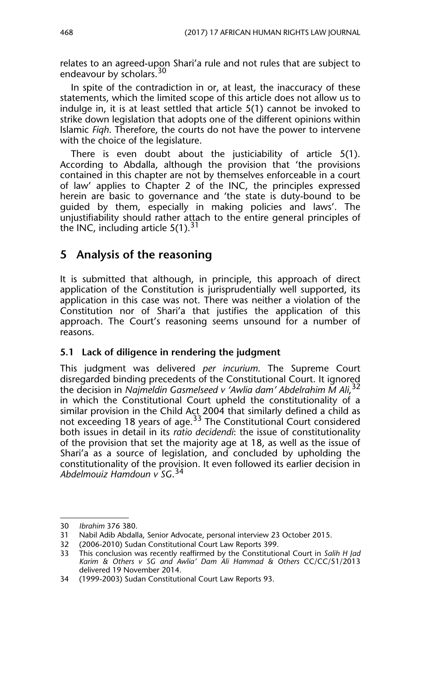relates to an agreed-upon Shari'a rule and not rules that are subject to endeavour by scholars.<sup>30</sup>

In spite of the contradiction in or, at least, the inaccuracy of these statements, which the limited scope of this article does not allow us to indulge in, it is at least settled that article 5(1) cannot be invoked to strike down legislation that adopts one of the different opinions within Islamic *Fiqh*. Therefore, the courts do not have the power to intervene with the choice of the legislature.

There is even doubt about the justiciability of article 5(1). According to Abdalla, although the provision that 'the provisions contained in this chapter are not by themselves enforceable in a court of law' applies to Chapter 2 of the INC, the principles expressed herein are basic to governance and 'the state is duty-bound to be guided by them, especially in making policies and laws'. The unjustifiability should rather attach to the entire general principles of the INC, including article  $5(1)$ .<sup>31</sup>

## **5 Analysis of the reasoning**

It is submitted that although, in principle, this approach of direct application of the Constitution is jurisprudentially well supported, its application in this case was not. There was neither a violation of the Constitution nor of Shari'a that justifies the application of this approach. The Court's reasoning seems unsound for a number of reasons.

#### **5.1 Lack of diligence in rendering the judgment**

This judgment was delivered *per incurium*. The Supreme Court disregarded binding precedents of the Constitutional Court. It ignored the decision in *Najmeldin Gasmelseed v 'Awlia dam' Abdelrahim M Ali*, 32 in which the Constitutional Court upheld the constitutionality of a similar provision in the Child Act 2004 that similarly defined a child as not exceeding 18 years of age.<sup>33</sup> The Constitutional Court considered both issues in detail in its *ratio decidendi*: the issue of constitutionality of the provision that set the majority age at 18, as well as the issue of Shari'a as a source of legislation, and concluded by upholding the constitutionality of the provision. It even followed its earlier decision in *Abdelmouiz Hamdoun v SG*. 34

<sup>30</sup> *Ibrahim* 376 380.

<sup>31</sup> Nabil Adib Abdalla, Senior Advocate, personal interview 23 October 2015.

<sup>32 (2006-2010)</sup> Sudan Constitutional Court Law Reports 399.

<sup>33</sup> This conclusion was recently reaffirmed by the Constitutional Court in *Salih H Jad Karim & Others v SG and Awlia' Dam Ali Hammad & Others* CC/CC/51/2013 delivered 19 November 2014.

<sup>34 (1999-2003)</sup> Sudan Constitutional Court Law Reports 93.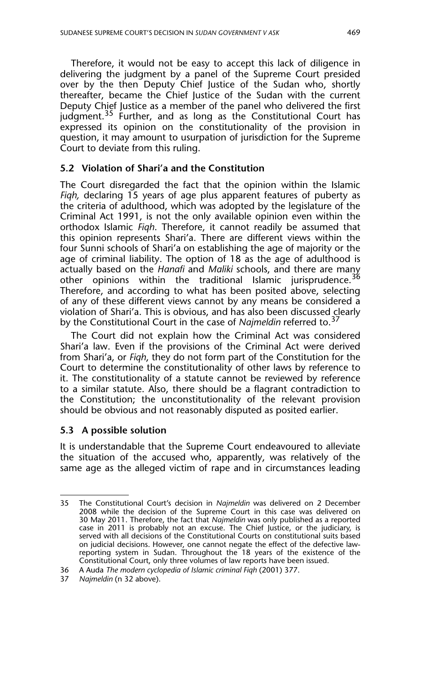Therefore, it would not be easy to accept this lack of diligence in delivering the judgment by a panel of the Supreme Court presided over by the then Deputy Chief Justice of the Sudan who, shortly thereafter, became the Chief Justice of the Sudan with the current Deputy Chief Justice as a member of the panel who delivered the first judgment.<sup>35</sup> Further, and as long as the Constitutional Court has expressed its opinion on the constitutionality of the provision in question, it may amount to usurpation of jurisdiction for the Supreme Court to deviate from this ruling.

#### **5.2 Violation of Shari'a and the Constitution**

The Court disregarded the fact that the opinion within the Islamic *Fiqh,* declaring 15 years of age plus apparent features of puberty as the criteria of adulthood, which was adopted by the legislature of the Criminal Act 1991, is not the only available opinion even within the orthodox Islamic *Fiqh*. Therefore, it cannot readily be assumed that this opinion represents Shari'a. There are different views within the four Sunni schools of Shari'a on establishing the age of majority or the age of criminal liability. The option of 18 as the age of adulthood is actually based on the *Hanafi* and *Maliki* schools, and there are many other opinions within the traditional Islamic jurisprudence.<sup>36</sup> Therefore, and according to what has been posited above, selecting of any of these different views cannot by any means be considered a violation of Shari'a. This is obvious, and has also been discussed clearly by the Constitutional Court in the case of *Najmeldin* referred to.<sup>37</sup>

The Court did not explain how the Criminal Act was considered Shari'a law. Even if the provisions of the Criminal Act were derived from Shari'a, or *Fiqh*, they do not form part of the Constitution for the Court to determine the constitutionality of other laws by reference to it. The constitutionality of a statute cannot be reviewed by reference to a similar statute. Also, there should be a flagrant contradiction to the Constitution; the unconstitutionality of the relevant provision should be obvious and not reasonably disputed as posited earlier.

#### **5.3 A possible solution**

It is understandable that the Supreme Court endeavoured to alleviate the situation of the accused who, apparently, was relatively of the same age as the alleged victim of rape and in circumstances leading

<sup>35</sup> The Constitutional Court's decision in *Najmeldin* was delivered on 2 December 2008 while the decision of the Supreme Court in this case was delivered on 30 May 2011. Therefore, the fact that *Najmeldin* was only published as a reported case in 2011 is probably not an excuse. The Chief Justice, or the judiciary, is served with all decisions of the Constitutional Courts on constitutional suits based on judicial decisions. However, one cannot negate the effect of the defective lawreporting system in Sudan. Throughout the 18 years of the existence of the Constitutional Court, only three volumes of law reports have been issued.

<sup>36</sup> A Auda *The modern cyclopedia of Islamic criminal Fiqh* (2001) 377.

<sup>37</sup> *Najmeldin* (n 32 above).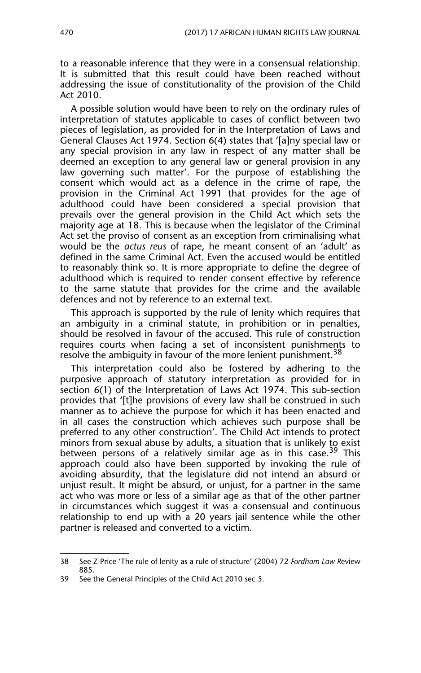to a reasonable inference that they were in a consensual relationship. It is submitted that this result could have been reached without addressing the issue of constitutionality of the provision of the Child Act 2010.

A possible solution would have been to rely on the ordinary rules of interpretation of statutes applicable to cases of conflict between two pieces of legislation, as provided for in the Interpretation of Laws and General Clauses Act 1974. Section 6(4) states that '[a]ny special law or any special provision in any law in respect of any matter shall be deemed an exception to any general law or general provision in any law governing such matter'. For the purpose of establishing the consent which would act as a defence in the crime of rape, the provision in the Criminal Act 1991 that provides for the age of adulthood could have been considered a special provision that prevails over the general provision in the Child Act which sets the majority age at 18. This is because when the legislator of the Criminal Act set the proviso of consent as an exception from criminalising what would be the *actus reus* of rape, he meant consent of an 'adult' as defined in the same Criminal Act. Even the accused would be entitled to reasonably think so. It is more appropriate to define the degree of adulthood which is required to render consent effective by reference to the same statute that provides for the crime and the available defences and not by reference to an external text.

This approach is supported by the rule of lenity which requires that an ambiguity in a criminal statute, in prohibition or in penalties, should be resolved in favour of the accused. This rule of construction requires courts when facing a set of inconsistent punishments to resolve the ambiguity in favour of the more lenient punishment.<sup>38</sup>

This interpretation could also be fostered by adhering to the purposive approach of statutory interpretation as provided for in section 6(1) of the Interpretation of Laws Act 1974. This sub-section provides that '[t]he provisions of every law shall be construed in such manner as to achieve the purpose for which it has been enacted and in all cases the construction which achieves such purpose shall be preferred to any other construction'. The Child Act intends to protect minors from sexual abuse by adults, a situation that is unlikely to exist between persons of a relatively similar age as in this case.<sup>39</sup> This approach could also have been supported by invoking the rule of avoiding absurdity, that the legislature did not intend an absurd or unjust result. It might be absurd, or unjust, for a partner in the same act who was more or less of a similar age as that of the other partner in circumstances which suggest it was a consensual and continuous relationship to end up with a 20 years jail sentence while the other partner is released and converted to a victim.

<sup>38</sup> See Z Price 'The rule of lenity as a rule of structure' (2004) 72 *Fordham Law R*eview 885.

<sup>39</sup> See the General Principles of the Child Act 2010 sec 5.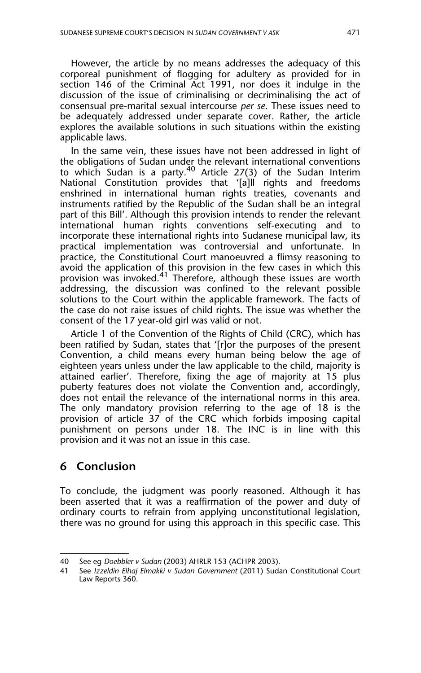However, the article by no means addresses the adequacy of this corporeal punishment of flogging for adultery as provided for in section 146 of the Criminal Act 1991, nor does it indulge in the discussion of the issue of criminalising or decriminalising the act of consensual pre-marital sexual intercourse *per se*. These issues need to be adequately addressed under separate cover. Rather, the article explores the available solutions in such situations within the existing applicable laws.

In the same vein, these issues have not been addressed in light of the obligations of Sudan under the relevant international conventions to which Sudan is a party.<sup>40</sup> Article 27(3) of the Sudan Interim National Constitution provides that '[a]ll rights and freedoms enshrined in international human rights treaties, covenants and instruments ratified by the Republic of the Sudan shall be an integral part of this Bill'. Although this provision intends to render the relevant international human rights conventions self-executing and to incorporate these international rights into Sudanese municipal law, its practical implementation was controversial and unfortunate. In practice, the Constitutional Court manoeuvred a flimsy reasoning to avoid the application of this provision in the few cases in which this provision was invoked.<sup>41</sup> Therefore, although these issues are worth addressing, the discussion was confined to the relevant possible solutions to the Court within the applicable framework. The facts of the case do not raise issues of child rights. The issue was whether the consent of the 17 year-old girl was valid or not.

Article 1 of the Convention of the Rights of Child (CRC), which has been ratified by Sudan, states that '[r]or the purposes of the present Convention, a child means every human being below the age of eighteen years unless under the law applicable to the child, majority is attained earlier'. Therefore, fixing the age of majority at 15 plus puberty features does not violate the Convention and, accordingly, does not entail the relevance of the international norms in this area. The only mandatory provision referring to the age of 18 is the provision of article 37 of the CRC which forbids imposing capital punishment on persons under 18. The INC is in line with this provision and it was not an issue in this case.

## **6 Conclusion**

To conclude, the judgment was poorly reasoned. Although it has been asserted that it was a reaffirmation of the power and duty of ordinary courts to refrain from applying unconstitutional legislation, there was no ground for using this approach in this specific case. This

<sup>40</sup> See eg *Doebbler v Sudan* (2003) AHRLR 153 (ACHPR 2003).

<sup>41</sup> See *Izzeldin Elhaj Elmakki v Sudan Government* (2011) Sudan Constitutional Court Law Reports 360.